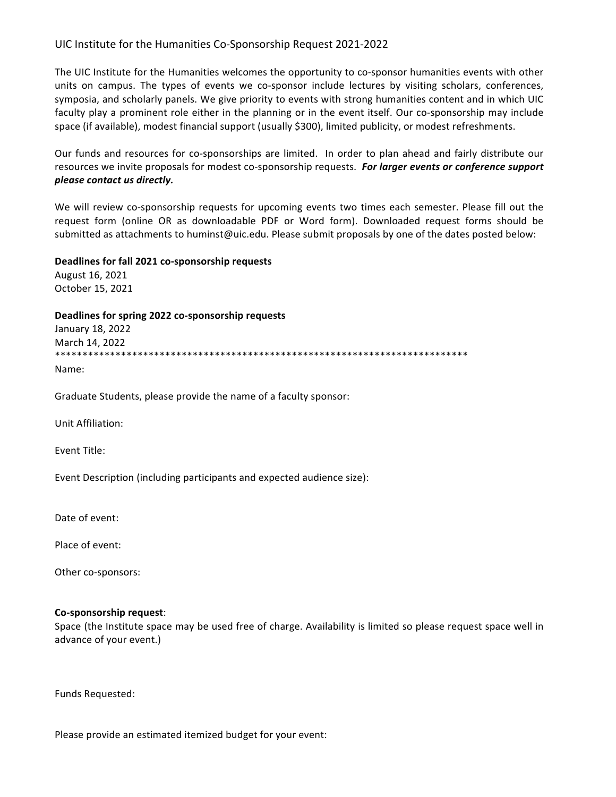## UIC Institute for the Humanities Co-Sponsorship Request 2021-2022

The UIC Institute for the Humanities welcomes the opportunity to co-sponsor humanities events with other units on campus. The types of events we co-sponsor include lectures by visiting scholars, conferences, symposia, and scholarly panels. We give priority to events with strong humanities content and in which UIC faculty play a prominent role either in the planning or in the event itself. Our co-sponsorship may include space (if available), modest financial support (usually \$300), limited publicity, or modest refreshments.

Our funds and resources for co-sponsorships are limited. In order to plan ahead and fairly distribute our resources we invite proposals for modest co-sponsorship requests. For larger events or conference support *please contact us directly.*

We will review co-sponsorship requests for upcoming events two times each semester. Please fill out the request form (online OR as downloadable PDF or Word form). Downloaded request forms should be submitted as attachments to huminst@uic.edu. Please submit proposals by one of the dates posted below:

## **Deadlines for fall 2021 co-sponsorship requests**

August 16, 2021 October 15, 2021

Deadlines for spring 2022 co-sponsorship requests

January 18, 2022 March 14, 2022 \*\*\*\*\*\*\*\*\*\*\*\*\*\*\*\*\*\*\*\*\*\*\*\*\*\*\*\*\*\*\*\*\*\*\*\*\*\*\*\*\*\*\*\*\*\*\*\*\*\*\*\*\*\*\*\*\*\*\*\*\*\*\*\*\*\*\*\*\*\*\*\*\*\*\*

Name: 

Graduate Students, please provide the name of a faculty sponsor:

Unit Affiliation:

Event Title:

Event Description (including participants and expected audience size):

Date of event:

Place of event:

Other co-sponsors:

## **Co-sponsorship request**:

Space (the Institute space may be used free of charge. Availability is limited so please request space well in advance of your event.)

Funds Requested: 

Please provide an estimated itemized budget for your event: